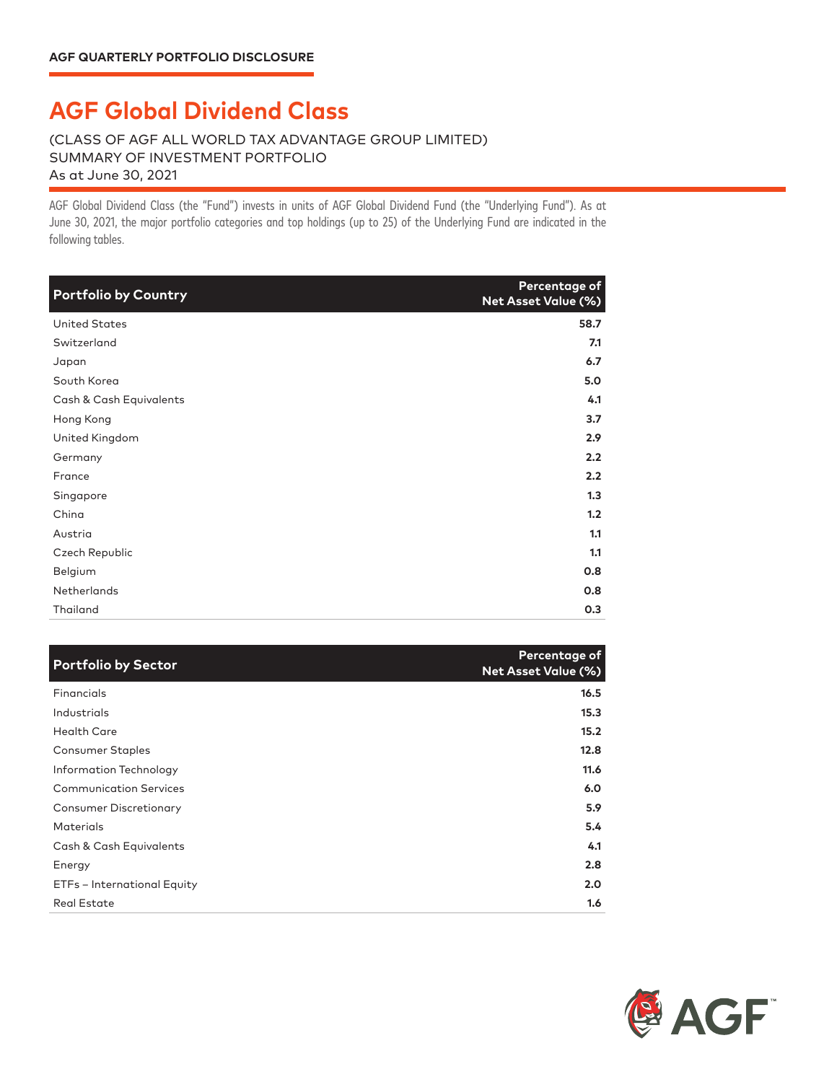## **AGF Global Dividend Class**

## (CLASS OF AGF ALL WORLD TAX ADVANTAGE GROUP LIMITED) SUMMARY OF INVESTMENT PORTFOLIO As at June 30, 2021

AGF Global Dividend Class (the "Fund") invests in units of AGF Global Dividend Fund (the "Underlying Fund"). As at June 30, 2021, the major portfolio categories and top holdings (up to 25) of the Underlying Fund are indicated in the following tables.

| <b>Portfolio by Country</b> | Percentage of<br><b>Net Asset Value (%)</b> |
|-----------------------------|---------------------------------------------|
| <b>United States</b>        | 58.7                                        |
| Switzerland                 | 7.1                                         |
| Japan                       | 6.7                                         |
| South Korea                 | 5.0                                         |
| Cash & Cash Equivalents     | 4.1                                         |
| Hong Kong                   | 3.7                                         |
| United Kingdom              | 2.9                                         |
| Germany                     | 2.2                                         |
| France                      | 2.2                                         |
| Singapore                   | 1.3                                         |
| China                       | 1.2                                         |
| Austria                     | 1.1                                         |
| Czech Republic              | 1.1                                         |
| Belgium                     | 0.8                                         |
| <b>Netherlands</b>          | 0.8                                         |
| Thailand                    | 0.3                                         |

| <b>Portfolio by Sector</b>    | Percentage of<br><b>Net Asset Value (%)</b> |
|-------------------------------|---------------------------------------------|
| Financials                    | 16.5                                        |
| Industrials                   | 15.3                                        |
| <b>Health Care</b>            | 15.2                                        |
| Consumer Staples              | 12.8                                        |
| Information Technology        | 11.6                                        |
| <b>Communication Services</b> | 6.0                                         |
| <b>Consumer Discretionary</b> | 5.9                                         |
| <b>Materials</b>              | 5.4                                         |
| Cash & Cash Equivalents       | 4.1                                         |
| Energy                        | 2.8                                         |
| ETFs - International Equity   | 2.0                                         |
| <b>Real Estate</b>            | 1.6                                         |